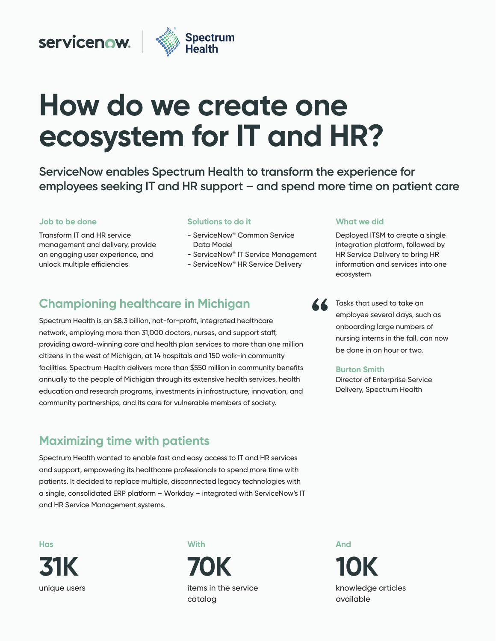### servicenow.



# How do we create one **ecosystem for IT and HR?**

ServiceNow enables Spectrum Health to transform the experience for employees seeking IT and HR support – and spend more time on patient care

#### **Job to be done Job to be done**

Transform IT and HR service management and delivery, provide an engaging user experience, and unlock multiple efficiencies

#### **Solutions to do it**

- ServiceNow® Common Service Data Model
- ServiceNow® IT Service Management
- ServiceNow® HR Service Delivery

### **Championing healthcare in Michigan**

Spectrum Health is an \$8.3 billion, not-for-profit, integrated healthcare network, employing more than 31,000 doctors, nurses, and support staff, providing award-winning care and health plan services to more than one million citizens in the west of Michigan, at 14 hospitals and 150 walk-in community **Meeting all staff needs** community partnerships, and its care for vulnerable members of society. facilities. Spectrum Health delivers more than \$550 million in community benefits annually to the people of Michigan through its extensive health services, health education and research programs, investments in infrastructure, innovation, and

#### **Maximizing time with patients and interest on taking care of our patients** and residents." To achieve this, in collaboration with ServiceNow, Sanford Health

Spectrum Health wanted to enable fast and easy access to IT and HR services and support, empowering its healthcare professionals to spend more time with patients. It decided to replace multiple, disconnected legacy technologies with a single, consolidated ERP platform – Workday – integrated with ServiceNow's IT and HR Service Management systems.

**Now Has 31K** unique users completed below that **31K** 

#### **With**

**90%**  items in the service **70K**  catalog

#### **What we did What we did**

Deployed ITSM to create a single integration platform, followed by HR Service Delivery to bring HR information and services into one ecosystem



Tasks that used to take an employee several days, such as onboarding large numbers of nursing interns in the fall, can now be done in an hour or two.

#### **Burton Smith**

Director of Enterprise Service Delivery, Spectrum Health

And **16 10K**  knowledge articles employees are accorded a state of  $\sim$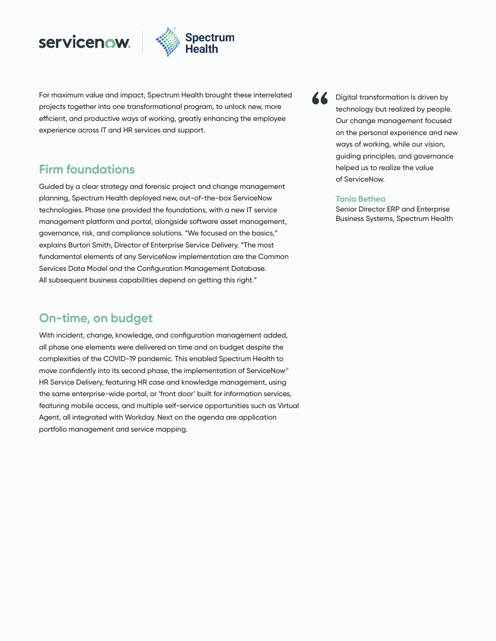## servicenow.



**Satisfaction on the rise**  For maximum value and impact, Spectrum Health brought these interrelated efficient, and productive ways of working, greatly enhancing the employee experience across IT and HR services and support. projects together into one transformational program, to unlock new, more

Digital transformation is driven by technology but realized by people. Our change management focused **Darren Walker** ways of working, while our vision, Chief Hr Officer, 1980 guiding principles, and governance on the personal experience and new helped us to realize the value of ServiceNow.

#### **Tania Bethea**

Senior Director ERP and Enterprise Business Systems, Spectrum Health

#### **Firm foundations**

Guided by a clear strategy and forensic project and change management .<br>technologies. Phase one provided the foundations, with a new IT service management platform and portal, alongside software asset management,  $\sim$ governance, risk, and compliance solutions. "We focused on the basics," ے<br>explains Burton Smith, Director of Enterprise Service Delivery. "The most rundamental elements of any ServiceNow implementation are the Common Services Data Model and the Configuration Management Database. All subsequent business capabilities depend on getting this right." planning, Spectrum Health deployed new, out-of-the-box ServiceNow

#### **On-time, on budget**

With incident, change, knowledge, and configuration management added, all phase one elements were delivered on time and on budget despite the complexities of the COVID-19 pandemic. This enabled Spectrum Health to move confidently into its second phase, the implementation of ServiceNow® HR Service Delivery, featuring HR case and knowledge management, using the same enterprise-wide portal, or 'front door' built for information services, featuring mobile access, and multiple self-service opportunities such as Virtual Agent, all integrated with Workday. Next on the agenda are application portfolio management and service mapping.